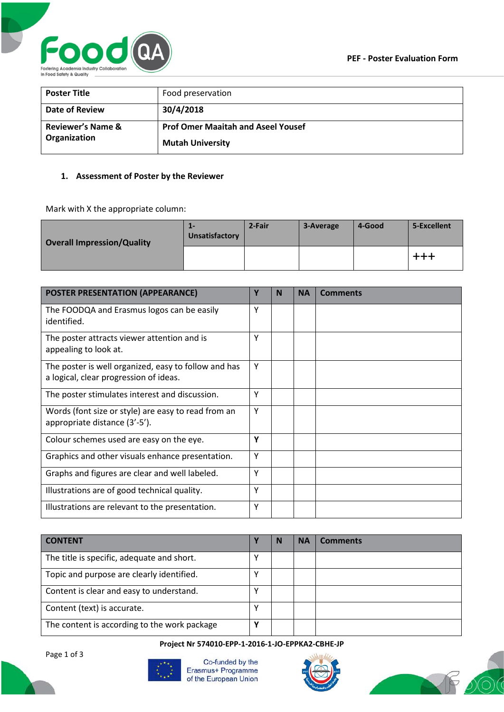

| <b>Poster Title</b>                          | Food preservation                                                    |
|----------------------------------------------|----------------------------------------------------------------------|
| Date of Review                               | 30/4/2018                                                            |
| <b>Reviewer's Name &amp;</b><br>Organization | <b>Prof Omer Maaitah and Aseel Yousef</b><br><b>Mutah University</b> |

## **1. Assessment of Poster by the Reviewer**

Mark with X the appropriate column:

| <b>Overall Impression/Quality</b> | 1-<br>Unsatisfactory | 2-Fair | 3-Average | 4-Good | 5-Excellent |
|-----------------------------------|----------------------|--------|-----------|--------|-------------|
|                                   |                      |        |           |        | +++         |

| <b>POSTER PRESENTATION (APPEARANCE)</b>                                                        | Υ | N | <b>NA</b> | <b>Comments</b> |
|------------------------------------------------------------------------------------------------|---|---|-----------|-----------------|
| The FOODQA and Erasmus logos can be easily<br>identified.                                      | Υ |   |           |                 |
| The poster attracts viewer attention and is<br>appealing to look at.                           | Υ |   |           |                 |
| The poster is well organized, easy to follow and has<br>a logical, clear progression of ideas. | Υ |   |           |                 |
| The poster stimulates interest and discussion.                                                 | Υ |   |           |                 |
| Words (font size or style) are easy to read from an<br>appropriate distance (3'-5').           | Υ |   |           |                 |
| Colour schemes used are easy on the eye.                                                       | Υ |   |           |                 |
| Graphics and other visuals enhance presentation.                                               | Υ |   |           |                 |
| Graphs and figures are clear and well labeled.                                                 | Υ |   |           |                 |
| Illustrations are of good technical quality.                                                   | Υ |   |           |                 |
| Illustrations are relevant to the presentation.                                                | Υ |   |           |                 |

| <b>CONTENT</b>                               |   | N | <b>NA</b> | <b>Comments</b> |
|----------------------------------------------|---|---|-----------|-----------------|
| The title is specific, adequate and short.   |   |   |           |                 |
| Topic and purpose are clearly identified.    |   |   |           |                 |
| Content is clear and easy to understand.     |   |   |           |                 |
| Content (text) is accurate.                  |   |   |           |                 |
| The content is according to the work package | v |   |           |                 |

**Project Nr 574010-EPP-1-2016-1-JO-EPPKA2-CBHE-JP**

Page 1 of 3



Co-funded by the Erasmus+ Programme of the European Union



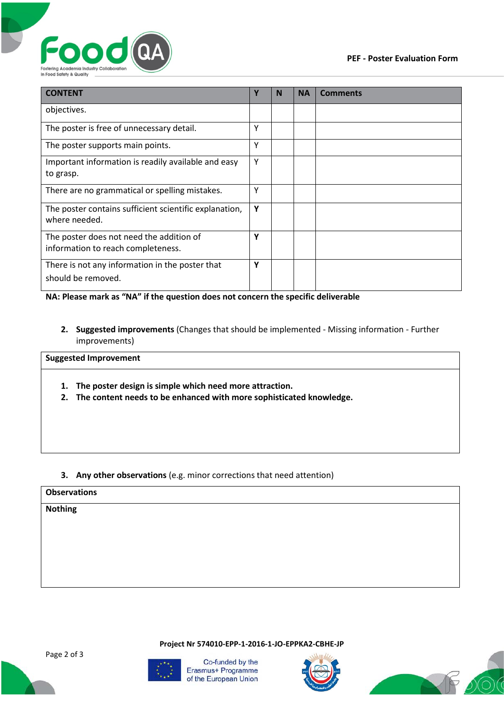

| <b>CONTENT</b>                                                                 |   | N | <b>NA</b> | <b>Comments</b> |
|--------------------------------------------------------------------------------|---|---|-----------|-----------------|
| objectives.                                                                    |   |   |           |                 |
| The poster is free of unnecessary detail.                                      | Υ |   |           |                 |
| The poster supports main points.                                               | Υ |   |           |                 |
| Important information is readily available and easy<br>to grasp.               | Y |   |           |                 |
| There are no grammatical or spelling mistakes.                                 | Υ |   |           |                 |
| The poster contains sufficient scientific explanation,<br>where needed.        | Υ |   |           |                 |
| The poster does not need the addition of<br>information to reach completeness. | Y |   |           |                 |
| There is not any information in the poster that<br>should be removed.          | Υ |   |           |                 |

**NA: Please mark as "NA" if the question does not concern the specific deliverable**

**2. Suggested improvements** (Changes that should be implemented - Missing information - Further improvements)

## **Suggested Improvement**

- **1. The poster design is simple which need more attraction.**
- **2. The content needs to be enhanced with more sophisticated knowledge.**
- **3. Any other observations** (e.g. minor corrections that need attention)

## **Observations**

**Nothing**

**Project Nr 574010-EPP-1-2016-1-JO-EPPKA2-CBHE-JP**



Co-funded by the Erasmus+ Programme of the European Union